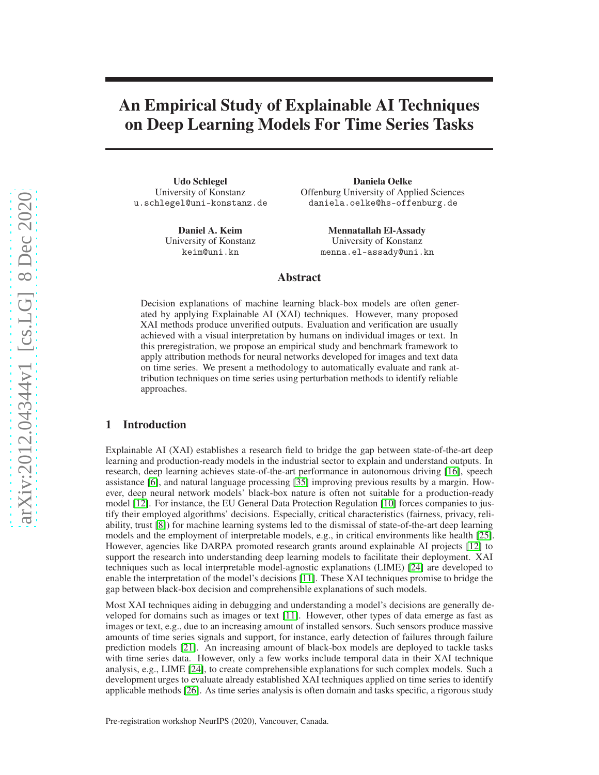# An Empirical Study of Explainable AI Techniques on Deep Learning Models For Time Series Tasks

Udo Schlegel University of Konstanz u.schlegel@uni-konstanz.de

> Daniel A. Keim University of Konstanz keim@uni.kn

Daniela Oelke Offenburg University of Applied Sciences daniela.oelke@hs-offenburg.de

> Mennatallah El-Assady University of Konstanz menna.el-assady@uni.kn

## Abstract

Decision explanations of machine learning black-box models are often generated by applying Explainable AI (XAI) techniques. However, many proposed XAI methods produce unverified outputs. Evaluation and verification are usually achieved with a visual interpretation by humans on individual images or text. In this preregistration, we propose an empirical study and benchmark framework to apply attribution methods for neural networks developed for images and text data on time series. We present a methodology to automatically evaluate and rank attribution techniques on time series using perturbation methods to identify reliable approaches.

## 1 Introduction

Explainable AI (XAI) establishes a research field to bridge the gap between state-of-the-art deep learning and production-ready models in the industrial sector to explain and understand outputs. In research, deep learning achieves state-of-the-art performance in autonomous driving [\[16\]](#page-6-0), speech assistance [\[6\]](#page-5-0), and natural language processing [\[35\]](#page-6-1) improving previous results by a margin. However, deep neural network models' black-box nature is often not suitable for a production-ready model [\[12\]](#page-5-1). For instance, the EU General Data Protection Regulation [\[10\]](#page-5-2) forces companies to justify their employed algorithms' decisions. Especially, critical characteristics (fairness, privacy, reliability, trust [\[8\]](#page-5-3)) for machine learning systems led to the dismissal of state-of-the-art deep learning models and the employment of interpretable models, e.g., in critical environments like health [\[25\]](#page-6-2). However, agencies like DARPA promoted research grants around explainable AI projects [\[12\]](#page-5-1) to support the research into understanding deep learning models to facilitate their deployment. XAI techniques such as local interpretable model-agnostic explanations (LIME) [\[24\]](#page-6-3) are developed to enable the interpretation of the model's decisions [\[11\]](#page-5-4). These XAI techniques promise to bridge the gap between black-box decision and comprehensible explanations of such models.

Most XAI techniques aiding in debugging and understanding a model's decisions are generally developed for domains such as images or text [\[11\]](#page-5-4). However, other types of data emerge as fast as images or text, e.g., due to an increasing amount of installed sensors. Such sensors produce massive amounts of time series signals and support, for instance, early detection of failures through failure prediction models [\[21\]](#page-6-4). An increasing amount of black-box models are deployed to tackle tasks with time series data. However, only a few works include temporal data in their XAI technique analysis, e.g., LIME [\[24\]](#page-6-3), to create comprehensible explanations for such complex models. Such a development urges to evaluate already established XAI techniques applied on time series to identify applicable methods [\[26\]](#page-6-5). As time series analysis is often domain and tasks specific, a rigorous study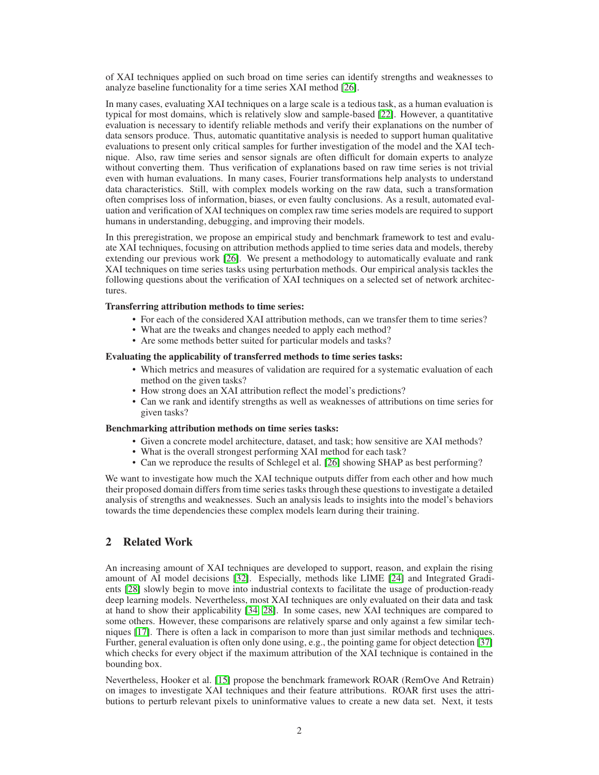of XAI techniques applied on such broad on time series can identify strengths and weaknesses to analyze baseline functionality for a time series XAI method [\[26\]](#page-6-5).

In many cases, evaluating XAI techniques on a large scale is a tedious task, as a human evaluation is typical for most domains, which is relatively slow and sample-based [\[22\]](#page-6-6). However, a quantitative evaluation is necessary to identify reliable methods and verify their explanations on the number of data sensors produce. Thus, automatic quantitative analysis is needed to support human qualitative evaluations to present only critical samples for further investigation of the model and the XAI technique. Also, raw time series and sensor signals are often difficult for domain experts to analyze without converting them. Thus verification of explanations based on raw time series is not trivial even with human evaluations. In many cases, Fourier transformations help analysts to understand data characteristics. Still, with complex models working on the raw data, such a transformation often comprises loss of information, biases, or even faulty conclusions. As a result, automated evaluation and verification of XAI techniques on complex raw time series models are required to support humans in understanding, debugging, and improving their models.

In this preregistration, we propose an empirical study and benchmark framework to test and evaluate XAI techniques, focusing on attribution methods applied to time series data and models, thereby extending our previous work [\[26\]](#page-6-5). We present a methodology to automatically evaluate and rank XAI techniques on time series tasks using perturbation methods. Our empirical analysis tackles the following questions about the verification of XAI techniques on a selected set of network architectures.

#### Transferring attribution methods to time series:

- For each of the considered XAI attribution methods, can we transfer them to time series?
- What are the tweaks and changes needed to apply each method?
- Are some methods better suited for particular models and tasks?

#### Evaluating the applicability of transferred methods to time series tasks:

- Which metrics and measures of validation are required for a systematic evaluation of each method on the given tasks?
- How strong does an XAI attribution reflect the model's predictions?
- Can we rank and identify strengths as well as weaknesses of attributions on time series for given tasks?

#### Benchmarking attribution methods on time series tasks:

- Given a concrete model architecture, dataset, and task; how sensitive are XAI methods?
- What is the overall strongest performing XAI method for each task?
- Can we reproduce the results of Schlegel et al. [\[26\]](#page-6-5) showing SHAP as best performing?

We want to investigate how much the XAI technique outputs differ from each other and how much their proposed domain differs from time series tasks through these questions to investigate a detailed analysis of strengths and weaknesses. Such an analysis leads to insights into the model's behaviors towards the time dependencies these complex models learn during their training.

## 2 Related Work

An increasing amount of XAI techniques are developed to support, reason, and explain the rising amount of AI model decisions [\[32\]](#page-6-7). Especially, methods like LIME [\[24\]](#page-6-3) and Integrated Gradients [\[28\]](#page-6-8) slowly begin to move into industrial contexts to facilitate the usage of production-ready deep learning models. Nevertheless, most XAI techniques are only evaluated on their data and task at hand to show their applicability [\[34,](#page-6-9) [28\]](#page-6-8). In some cases, new XAI techniques are compared to some others. However, these comparisons are relatively sparse and only against a few similar techniques [\[17\]](#page-6-10). There is often a lack in comparison to more than just similar methods and techniques. Further, general evaluation is often only done using, e.g., the pointing game for object detection [\[37\]](#page-6-11) which checks for every object if the maximum attribution of the XAI technique is contained in the bounding box.

Nevertheless, Hooker et al. [\[15\]](#page-5-5) propose the benchmark framework ROAR (RemOve And Retrain) on images to investigate XAI techniques and their feature attributions. ROAR first uses the attributions to perturb relevant pixels to uninformative values to create a new data set. Next, it tests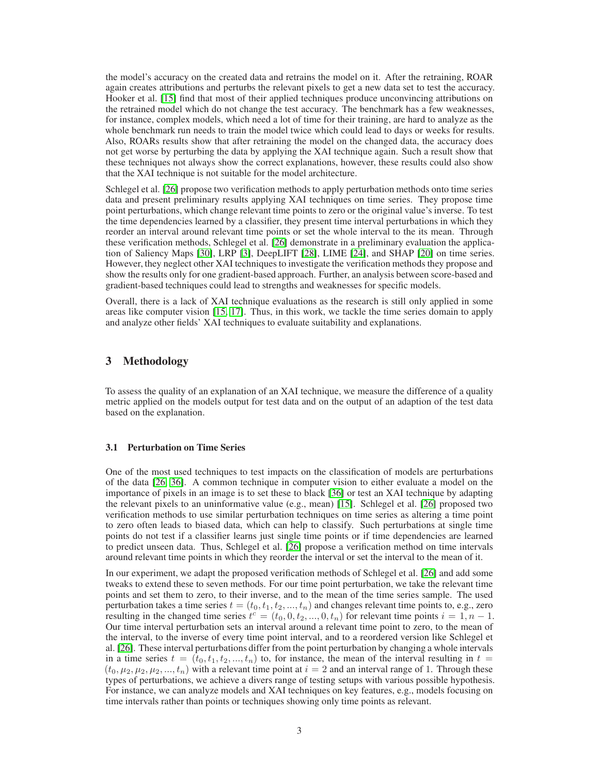the model's accuracy on the created data and retrains the model on it. After the retraining, ROAR again creates attributions and perturbs the relevant pixels to get a new data set to test the accuracy. Hooker et al. [\[15\]](#page-5-5) find that most of their applied techniques produce unconvincing attributions on the retrained model which do not change the test accuracy. The benchmark has a few weaknesses, for instance, complex models, which need a lot of time for their training, are hard to analyze as the whole benchmark run needs to train the model twice which could lead to days or weeks for results. Also, ROARs results show that after retraining the model on the changed data, the accuracy does not get worse by perturbing the data by applying the XAI technique again. Such a result show that these techniques not always show the correct explanations, however, these results could also show that the XAI technique is not suitable for the model architecture.

Schlegel et al. [\[26\]](#page-6-5) propose two verification methods to apply perturbation methods onto time series data and present preliminary results applying XAI techniques on time series. They propose time point perturbations, which change relevant time points to zero or the original value's inverse. To test the time dependencies learned by a classifier, they present time interval perturbations in which they reorder an interval around relevant time points or set the whole interval to the its mean. Through these verification methods, Schlegel et al. [\[26\]](#page-6-5) demonstrate in a preliminary evaluation the application of Saliency Maps [\[30\]](#page-6-12), LRP [\[3\]](#page-5-6), DeepLIFT [\[28\]](#page-6-8), LIME [\[24\]](#page-6-3), and SHAP [\[20\]](#page-6-13) on time series. However, they neglect other XAI techniques to investigate the verification methods they propose and show the results only for one gradient-based approach. Further, an analysis between score-based and gradient-based techniques could lead to strengths and weaknesses for specific models.

Overall, there is a lack of XAI technique evaluations as the research is still only applied in some areas like computer vision [\[15,](#page-5-5) [17\]](#page-6-10). Thus, in this work, we tackle the time series domain to apply and analyze other fields' XAI techniques to evaluate suitability and explanations.

## 3 Methodology

To assess the quality of an explanation of an XAI technique, we measure the difference of a quality metric applied on the models output for test data and on the output of an adaption of the test data based on the explanation.

## 3.1 Perturbation on Time Series

One of the most used techniques to test impacts on the classification of models are perturbations of the data [\[26,](#page-6-5) [36\]](#page-6-14). A common technique in computer vision to either evaluate a model on the importance of pixels in an image is to set these to black [\[36\]](#page-6-14) or test an XAI technique by adapting the relevant pixels to an uninformative value (e.g., mean) [\[15\]](#page-5-5). Schlegel et al. [\[26\]](#page-6-5) proposed two verification methods to use similar perturbation techniques on time series as altering a time point to zero often leads to biased data, which can help to classify. Such perturbations at single time points do not test if a classifier learns just single time points or if time dependencies are learned to predict unseen data. Thus, Schlegel et al. [\[26\]](#page-6-5) propose a verification method on time intervals around relevant time points in which they reorder the interval or set the interval to the mean of it.

In our experiment, we adapt the proposed verification methods of Schlegel et al. [\[26\]](#page-6-5) and add some tweaks to extend these to seven methods. For our time point perturbation, we take the relevant time points and set them to zero, to their inverse, and to the mean of the time series sample. The used perturbation takes a time series  $t = (t_0, t_1, t_2, ..., t_n)$  and changes relevant time points to, e.g., zero resulting in the changed time series  $t^c = (t_0, 0, t_2, ..., 0, t_n)$  for relevant time points  $i = 1, n - 1$ . Our time interval perturbation sets an interval around a relevant time point to zero, to the mean of the interval, to the inverse of every time point interval, and to a reordered version like Schlegel et al. [\[26\]](#page-6-5). These interval perturbations differ from the point perturbation by changing a whole intervals in a time series  $t = (t_0, t_1, t_2, ..., t_n)$  to, for instance, the mean of the interval resulting in  $t =$  $(t_0, \mu_2, \mu_2, \mu_3, ..., t_n)$  with a relevant time point at  $i = 2$  and an interval range of 1. Through these types of perturbations, we achieve a divers range of testing setups with various possible hypothesis. For instance, we can analyze models and XAI techniques on key features, e.g., models focusing on time intervals rather than points or techniques showing only time points as relevant.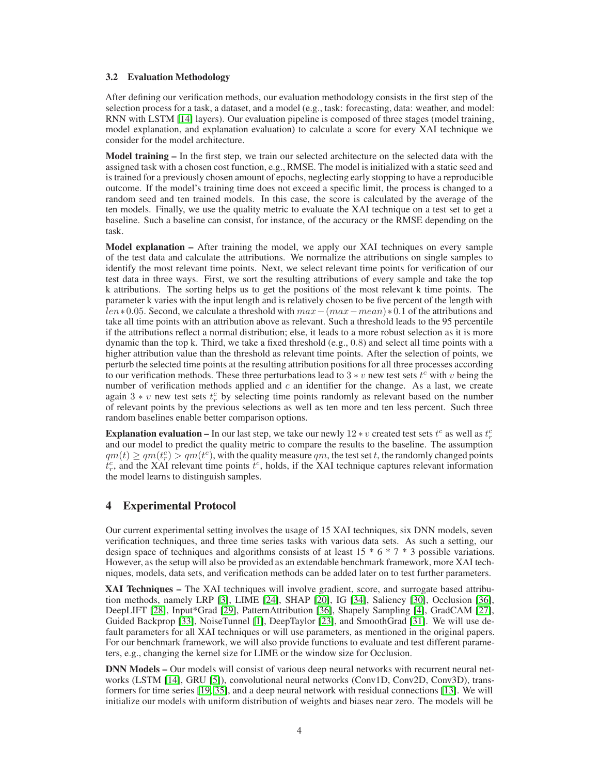#### 3.2 Evaluation Methodology

After defining our verification methods, our evaluation methodology consists in the first step of the selection process for a task, a dataset, and a model (e.g., task: forecasting, data: weather, and model: RNN with LSTM [\[14\]](#page-5-7) layers). Our evaluation pipeline is composed of three stages (model training, model explanation, and explanation evaluation) to calculate a score for every XAI technique we consider for the model architecture.

Model training – In the first step, we train our selected architecture on the selected data with the assigned task with a chosen cost function, e.g., RMSE. The model is initialized with a static seed and is trained for a previously chosen amount of epochs, neglecting early stopping to have a reproducible outcome. If the model's training time does not exceed a specific limit, the process is changed to a random seed and ten trained models. In this case, the score is calculated by the average of the ten models. Finally, we use the quality metric to evaluate the XAI technique on a test set to get a baseline. Such a baseline can consist, for instance, of the accuracy or the RMSE depending on the task.

Model explanation – After training the model, we apply our XAI techniques on every sample of the test data and calculate the attributions. We normalize the attributions on single samples to identify the most relevant time points. Next, we select relevant time points for verification of our test data in three ways. First, we sort the resulting attributions of every sample and take the top k attributions. The sorting helps us to get the positions of the most relevant k time points. The parameter k varies with the input length and is relatively chosen to be five percent of the length with  $len*0.05$ . Second, we calculate a threshold with  $max-(max-mean)*0.1$  of the attributions and take all time points with an attribution above as relevant. Such a threshold leads to the 95 percentile if the attributions reflect a normal distribution; else, it leads to a more robust selection as it is more dynamic than the top k. Third, we take a fixed threshold (e.g., 0.8) and select all time points with a higher attribution value than the threshold as relevant time points. After the selection of points, we perturb the selected time points at the resulting attribution positions for all three processes according to our verification methods. These three perturbations lead to 3  $* v$  new test sets  $t^c$  with  $v$  being the number of verification methods applied and  $c$  an identifier for the change. As a last, we create again 3 \* v new test sets  $t_r^c$  by selecting time points randomly as relevant based on the number of relevant points by the previous selections as well as ten more and ten less percent. Such three random baselines enable better comparison options.

**Explanation evaluation –** In our last step, we take our newly  $12 * v$  created test sets  $t^c$  as well as  $t_r^c$ and our model to predict the quality metric to compare the results to the baseline. The assumption  $qm(t) \geq qm(t<sup>c</sup>) > qm(t<sup>c</sup>)$ , with the quality measure  $qm$ , the test set t, the randomly changed points  $t_r^c$ , and the XAI relevant time points  $\bar{t}^c$ , holds, if the XAI technique captures relevant information the model learns to distinguish samples.

## 4 Experimental Protocol

Our current experimental setting involves the usage of 15 XAI techniques, six DNN models, seven verification techniques, and three time series tasks with various data sets. As such a setting, our design space of techniques and algorithms consists of at least  $15 * 6 * 7 * 3$  possible variations. However, as the setup will also be provided as an extendable benchmark framework, more XAI techniques, models, data sets, and verification methods can be added later on to test further parameters.

XAI Techniques – The XAI techniques will involve gradient, score, and surrogate based attribution methods, namely LRP [\[3\]](#page-5-6), LIME [\[24\]](#page-6-3), SHAP [\[20\]](#page-6-13), IG [\[34\]](#page-6-9), Saliency [\[30\]](#page-6-12), Occlusion [\[36\]](#page-6-14), DeepLIFT [\[28\]](#page-6-8), Input\*Grad [\[29\]](#page-6-15), PatternAttribution [\[36\]](#page-6-14), Shapely Sampling [\[4\]](#page-5-8), GradCAM [\[27\]](#page-6-16), Guided Backprop [\[33\]](#page-6-17), NoiseTunnel [\[1\]](#page-5-9), DeepTaylor [\[23\]](#page-6-18), and SmoothGrad [\[31\]](#page-6-19). We will use default parameters for all XAI techniques or will use parameters, as mentioned in the original papers. For our benchmark framework, we will also provide functions to evaluate and test different parameters, e.g., changing the kernel size for LIME or the window size for Occlusion.

DNN Models – Our models will consist of various deep neural networks with recurrent neural net-works (LSTM [\[14\]](#page-5-7), GRU [\[5\]](#page-5-10)), convolutional neural networks (Conv1D, Conv2D, Conv3D), transformers for time series [\[19,](#page-6-20) [35\]](#page-6-1), and a deep neural network with residual connections [\[13\]](#page-5-11). We will initialize our models with uniform distribution of weights and biases near zero. The models will be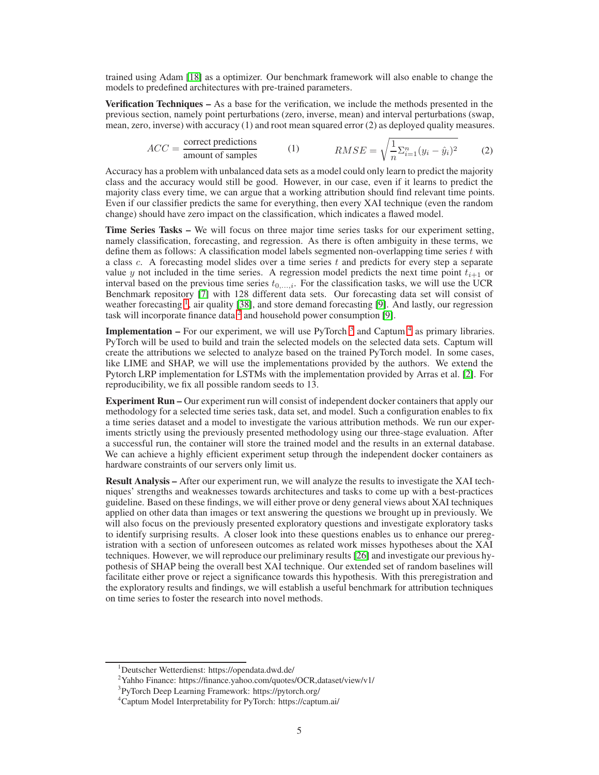trained using Adam [\[18\]](#page-6-21) as a optimizer. Our benchmark framework will also enable to change the models to predefined architectures with pre-trained parameters.

Verification Techniques – As a base for the verification, we include the methods presented in the previous section, namely point perturbations (zero, inverse, mean) and interval perturbations (swap, mean, zero, inverse) with accuracy (1) and root mean squared error (2) as deployed quality measures.

$$
ACC = \frac{\text{correct predictions}}{\text{amount of samples}} \qquad (1) \qquad RMSE = \sqrt{\frac{1}{n} \sum_{i=1}^{n} (y_i - \hat{y}_i)^2} \qquad (2)
$$

Accuracy has a problem with unbalanced data sets as a model could only learn to predict the majority class and the accuracy would still be good. However, in our case, even if it learns to predict the majority class every time, we can argue that a working attribution should find relevant time points. Even if our classifier predicts the same for everything, then every XAI technique (even the random change) should have zero impact on the classification, which indicates a flawed model.

Time Series Tasks – We will focus on three major time series tasks for our experiment setting, namely classification, forecasting, and regression. As there is often ambiguity in these terms, we define them as follows: A classification model labels segmented non-overlapping time series  $t$  with a class c. A forecasting model slides over a time series  $t$  and predicts for every step a separate value y not included in the time series. A regression model predicts the next time point  $t_{i+1}$  or interval based on the previous time series  $t_{0,\dots,i}$ . For the classification tasks, we will use the UCR Benchmark repository [\[7\]](#page-5-12) with 128 different data sets. Our forecasting data set will consist of weather forecasting <sup>[1](#page-4-0)</sup>, air quality [\[38\]](#page-7-0), and store demand forecasting [\[9\]](#page-5-13). And lastly, our regression task will incorporate finance data<sup>[2](#page-4-1)</sup> and household power consumption [\[9\]](#page-5-13).

**Implementation –** For our experiment, we will use PyTorch<sup>[3](#page-4-2)</sup> and Captum<sup>[4](#page-4-3)</sup> as primary libraries. PyTorch will be used to build and train the selected models on the selected data sets. Captum will create the attributions we selected to analyze based on the trained PyTorch model. In some cases, like LIME and SHAP, we will use the implementations provided by the authors. We extend the Pytorch LRP implementation for LSTMs with the implementation provided by Arras et al. [\[2\]](#page-5-14). For reproducibility, we fix all possible random seeds to 13.

Experiment Run – Our experiment run will consist of independent docker containers that apply our methodology for a selected time series task, data set, and model. Such a configuration enables to fix a time series dataset and a model to investigate the various attribution methods. We run our experiments strictly using the previously presented methodology using our three-stage evaluation. After a successful run, the container will store the trained model and the results in an external database. We can achieve a highly efficient experiment setup through the independent docker containers as hardware constraints of our servers only limit us.

Result Analysis – After our experiment run, we will analyze the results to investigate the XAI techniques' strengths and weaknesses towards architectures and tasks to come up with a best-practices guideline. Based on these findings, we will either prove or deny general views about XAI techniques applied on other data than images or text answering the questions we brought up in previously. We will also focus on the previously presented exploratory questions and investigate exploratory tasks to identify surprising results. A closer look into these questions enables us to enhance our preregistration with a section of unforeseen outcomes as related work misses hypotheses about the XAI techniques. However, we will reproduce our preliminary results [\[26\]](#page-6-5) and investigate our previous hypothesis of SHAP being the overall best XAI technique. Our extended set of random baselines will facilitate either prove or reject a significance towards this hypothesis. With this preregistration and the exploratory results and findings, we will establish a useful benchmark for attribution techniques on time series to foster the research into novel methods.

<sup>1</sup>Deutscher Wetterdienst: https://opendata.dwd.de/

<span id="page-4-0"></span><sup>2</sup>Yahho Finance: https://finance.yahoo.com/quotes/OCR,dataset/view/v1/

<span id="page-4-1"></span><sup>&</sup>lt;sup>3</sup>PyTorch Deep Learning Framework: https://pytorch.org/

<span id="page-4-3"></span><span id="page-4-2"></span><sup>4</sup>Captum Model Interpretability for PyTorch: https://captum.ai/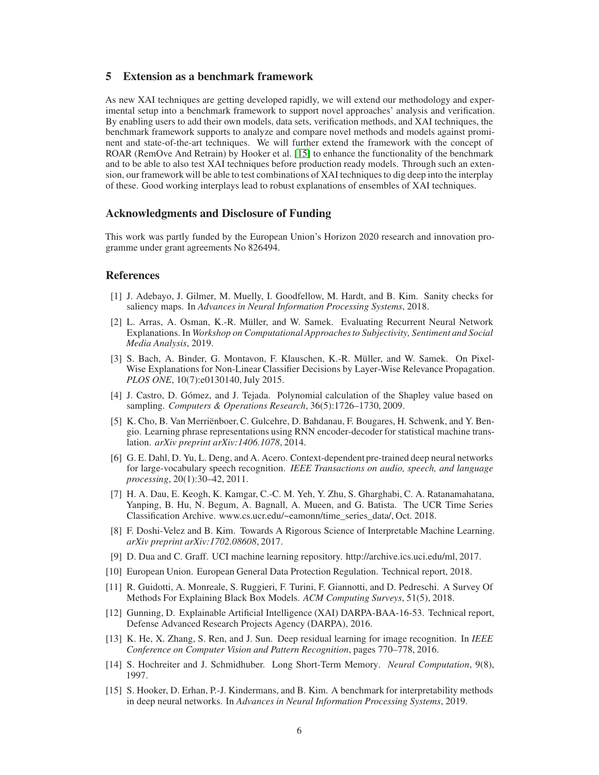## 5 Extension as a benchmark framework

As new XAI techniques are getting developed rapidly, we will extend our methodology and experimental setup into a benchmark framework to support novel approaches' analysis and verification. By enabling users to add their own models, data sets, verification methods, and XAI techniques, the benchmark framework supports to analyze and compare novel methods and models against prominent and state-of-the-art techniques. We will further extend the framework with the concept of ROAR (RemOve And Retrain) by Hooker et al. [\[15\]](#page-5-5) to enhance the functionality of the benchmark and to be able to also test XAI techniques before production ready models. Through such an extension, our framework will be able to test combinations of XAI techniques to dig deep into the interplay of these. Good working interplays lead to robust explanations of ensembles of XAI techniques.

## Acknowledgments and Disclosure of Funding

This work was partly funded by the European Union's Horizon 2020 research and innovation programme under grant agreements No 826494.

## <span id="page-5-9"></span>References

- [1] J. Adebayo, J. Gilmer, M. Muelly, I. Goodfellow, M. Hardt, and B. Kim. Sanity checks for saliency maps. In *Advances in Neural Information Processing Systems*, 2018.
- <span id="page-5-14"></span>[2] L. Arras, A. Osman, K.-R. Müller, and W. Samek. Evaluating Recurrent Neural Network Explanations. In *Workshop on Computational Approaches to Subjectivity, Sentiment and Social Media Analysis*, 2019.
- <span id="page-5-6"></span>[3] S. Bach, A. Binder, G. Montavon, F. Klauschen, K.-R. Müller, and W. Samek. On Pixel-Wise Explanations for Non-Linear Classifier Decisions by Layer-Wise Relevance Propagation. *PLOS ONE*, 10(7):e0130140, July 2015.
- <span id="page-5-8"></span>[4] J. Castro, D. Gómez, and J. Tejada. Polynomial calculation of the Shapley value based on sampling. *Computers & Operations Research*, 36(5):1726–1730, 2009.
- <span id="page-5-10"></span>[5] K. Cho, B. Van Merriënboer, C. Gulcehre, D. Bahdanau, F. Bougares, H. Schwenk, and Y. Bengio. Learning phrase representations using RNN encoder-decoder for statistical machine translation. *arXiv preprint arXiv:1406.1078*, 2014.
- <span id="page-5-0"></span>[6] G. E. Dahl, D. Yu, L. Deng, and A. Acero. Context-dependent pre-trained deep neural networks for large-vocabulary speech recognition. *IEEE Transactions on audio, speech, and language processing*, 20(1):30–42, 2011.
- <span id="page-5-12"></span>[7] H. A. Dau, E. Keogh, K. Kamgar, C.-C. M. Yeh, Y. Zhu, S. Gharghabi, C. A. Ratanamahatana, Yanping, B. Hu, N. Begum, A. Bagnall, A. Mueen, and G. Batista. The UCR Time Series Classification Archive. www.cs.ucr.edu/~eamonn/time\_series\_data/, Oct. 2018.
- <span id="page-5-3"></span>[8] F. Doshi-Velez and B. Kim. Towards A Rigorous Science of Interpretable Machine Learning. *arXiv preprint arXiv:1702.08608*, 2017.
- <span id="page-5-13"></span><span id="page-5-2"></span>[9] D. Dua and C. Graff. UCI machine learning repository. http://archive.ics.uci.edu/ml, 2017.
- <span id="page-5-4"></span>[10] European Union. European General Data Protection Regulation. Technical report, 2018.
- [11] R. Guidotti, A. Monreale, S. Ruggieri, F. Turini, F. Giannotti, and D. Pedreschi. A Survey Of Methods For Explaining Black Box Models. *ACM Computing Surveys*, 51(5), 2018.
- <span id="page-5-1"></span>[12] Gunning, D. Explainable Artificial Intelligence (XAI) DARPA-BAA-16-53. Technical report, Defense Advanced Research Projects Agency (DARPA), 2016.
- <span id="page-5-11"></span>[13] K. He, X. Zhang, S. Ren, and J. Sun. Deep residual learning for image recognition. In *IEEE Conference on Computer Vision and Pattern Recognition*, pages 770–778, 2016.
- <span id="page-5-7"></span>[14] S. Hochreiter and J. Schmidhuber. Long Short-Term Memory. *Neural Computation*, 9(8), 1997.
- <span id="page-5-5"></span>[15] S. Hooker, D. Erhan, P.-J. Kindermans, and B. Kim. A benchmark for interpretability methods in deep neural networks. In *Advances in Neural Information Processing Systems*, 2019.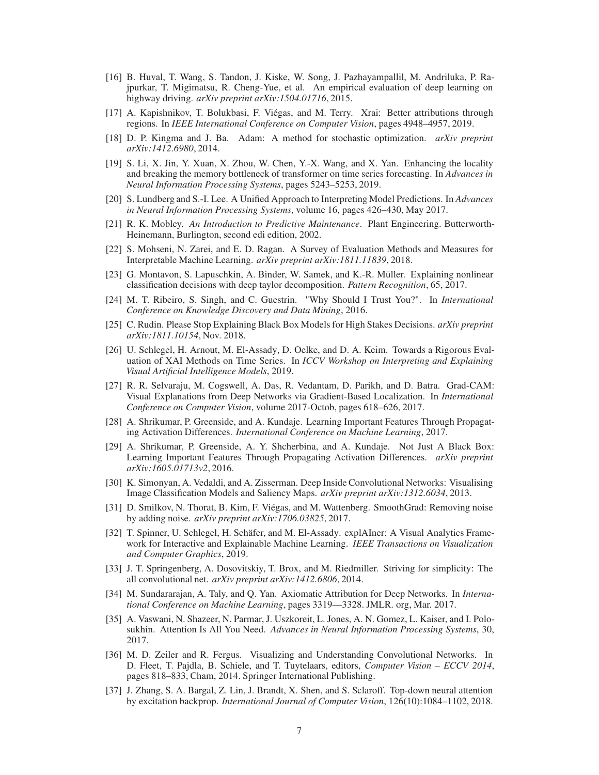- <span id="page-6-0"></span>[16] B. Huval, T. Wang, S. Tandon, J. Kiske, W. Song, J. Pazhayampallil, M. Andriluka, P. Rajpurkar, T. Migimatsu, R. Cheng-Yue, et al. An empirical evaluation of deep learning on highway driving. *arXiv preprint arXiv:1504.01716*, 2015.
- <span id="page-6-10"></span>[17] A. Kapishnikov, T. Bolukbasi, F. Viégas, and M. Terry. Xrai: Better attributions through regions. In *IEEE International Conference on Computer Vision*, pages 4948–4957, 2019.
- <span id="page-6-21"></span><span id="page-6-20"></span>[18] D. P. Kingma and J. Ba. Adam: A method for stochastic optimization. *arXiv preprint arXiv:1412.6980*, 2014.
- [19] S. Li, X. Jin, Y. Xuan, X. Zhou, W. Chen, Y.-X. Wang, and X. Yan. Enhancing the locality and breaking the memory bottleneck of transformer on time series forecasting. In *Advances in Neural Information Processing Systems*, pages 5243–5253, 2019.
- <span id="page-6-13"></span>[20] S. Lundberg and S.-I. Lee. A Unified Approach to Interpreting Model Predictions. In *Advances in Neural Information Processing Systems*, volume 16, pages 426–430, May 2017.
- <span id="page-6-4"></span>[21] R. K. Mobley. *An Introduction to Predictive Maintenance*. Plant Engineering. Butterworth-Heinemann, Burlington, second edi edition, 2002.
- <span id="page-6-6"></span>[22] S. Mohseni, N. Zarei, and E. D. Ragan. A Survey of Evaluation Methods and Measures for Interpretable Machine Learning. *arXiv preprint arXiv:1811.11839*, 2018.
- <span id="page-6-18"></span>[23] G. Montavon, S. Lapuschkin, A. Binder, W. Samek, and K.-R. Müller. Explaining nonlinear classification decisions with deep taylor decomposition. *Pattern Recognition*, 65, 2017.
- <span id="page-6-3"></span>[24] M. T. Ribeiro, S. Singh, and C. Guestrin. "Why Should I Trust You?". In *International Conference on Knowledge Discovery and Data Mining*, 2016.
- <span id="page-6-2"></span>[25] C. Rudin. Please Stop Explaining Black Box Models for High Stakes Decisions. *arXiv preprint arXiv:1811.10154*, Nov. 2018.
- <span id="page-6-5"></span>[26] U. Schlegel, H. Arnout, M. El-Assady, D. Oelke, and D. A. Keim. Towards a Rigorous Evaluation of XAI Methods on Time Series. In *ICCV Workshop on Interpreting and Explaining Visual Artificial Intelligence Models*, 2019.
- <span id="page-6-16"></span>[27] R. R. Selvaraju, M. Cogswell, A. Das, R. Vedantam, D. Parikh, and D. Batra. Grad-CAM: Visual Explanations from Deep Networks via Gradient-Based Localization. In *International Conference on Computer Vision*, volume 2017-Octob, pages 618–626, 2017.
- <span id="page-6-8"></span>[28] A. Shrikumar, P. Greenside, and A. Kundaje. Learning Important Features Through Propagating Activation Differences. *International Conference on Machine Learning*, 2017.
- <span id="page-6-15"></span>[29] A. Shrikumar, P. Greenside, A. Y. Shcherbina, and A. Kundaje. Not Just A Black Box: Learning Important Features Through Propagating Activation Differences. *arXiv preprint arXiv:1605.01713v2*, 2016.
- <span id="page-6-12"></span>[30] K. Simonyan, A. Vedaldi, and A. Zisserman. Deep Inside Convolutional Networks: Visualising Image Classification Models and Saliency Maps. *arXiv preprint arXiv:1312.6034*, 2013.
- <span id="page-6-19"></span>[31] D. Smilkov, N. Thorat, B. Kim, F. Viégas, and M. Wattenberg. SmoothGrad: Removing noise by adding noise. *arXiv preprint arXiv:1706.03825*, 2017.
- <span id="page-6-7"></span>[32] T. Spinner, U. Schlegel, H. Schäfer, and M. El-Assady. explAIner: A Visual Analytics Framework for Interactive and Explainable Machine Learning. *IEEE Transactions on Visualization and Computer Graphics*, 2019.
- <span id="page-6-17"></span>[33] J. T. Springenberg, A. Dosovitskiy, T. Brox, and M. Riedmiller. Striving for simplicity: The all convolutional net. *arXiv preprint arXiv:1412.6806*, 2014.
- <span id="page-6-9"></span>[34] M. Sundararajan, A. Taly, and Q. Yan. Axiomatic Attribution for Deep Networks. In *International Conference on Machine Learning*, pages 3319—3328. JMLR. org, Mar. 2017.
- <span id="page-6-1"></span>[35] A. Vaswani, N. Shazeer, N. Parmar, J. Uszkoreit, L. Jones, A. N. Gomez, L. Kaiser, and I. Polosukhin. Attention Is All You Need. *Advances in Neural Information Processing Systems*, 30, 2017.
- <span id="page-6-14"></span>[36] M. D. Zeiler and R. Fergus. Visualizing and Understanding Convolutional Networks. In D. Fleet, T. Pajdla, B. Schiele, and T. Tuytelaars, editors, *Computer Vision – ECCV 2014*, pages 818–833, Cham, 2014. Springer International Publishing.
- <span id="page-6-11"></span>[37] J. Zhang, S. A. Bargal, Z. Lin, J. Brandt, X. Shen, and S. Sclaroff. Top-down neural attention by excitation backprop. *International Journal of Computer Vision*, 126(10):1084–1102, 2018.